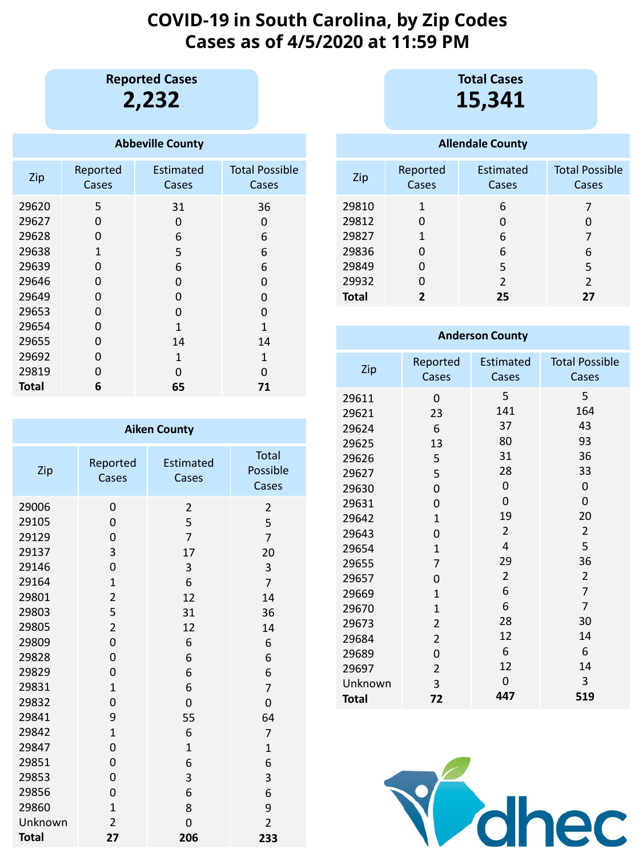# **COVID-19 in South Carolina, by Zip Codes Cases as of 4/5/2020 at 11:59 PM**

**2,232 Reported Cases**

## **Abbeville County**

| Zip          | Reported<br>Cases | Estimated<br>Cases | <b>Total Possible</b><br>Cases |
|--------------|-------------------|--------------------|--------------------------------|
| 29620        | 5                 | 31                 | 36                             |
| 29627        | O                 | 0                  | 0                              |
| 29628        | 0                 | 6                  | 6                              |
| 29638        | 1                 | 5                  | 6                              |
| 29639        | 0                 | 6                  | 6                              |
| 29646        | 0                 | O                  | 0                              |
| 29649        | O                 | O                  | O                              |
| 29653        | O                 | 0                  | 0                              |
| 29654        | 0                 | 1                  | 1                              |
| 29655        | 0                 | 14                 | 14                             |
| 29692        | 0                 | 1                  | $\mathbf{1}$                   |
| 29819        | 0                 | O                  | O                              |
| <b>Total</b> | 6                 | 65                 | 71                             |

| <b>Aiken County</b> |                   |                           |                                   |  |  |
|---------------------|-------------------|---------------------------|-----------------------------------|--|--|
| Zip                 | Reported<br>Cases | <b>Estimated</b><br>Cases | <b>Total</b><br>Possible<br>Cases |  |  |
| 29006               | 0                 | $\overline{2}$            | $\overline{2}$                    |  |  |
| 29105               | 0                 | 5                         | 5                                 |  |  |
| 29129               | 0                 | $\overline{7}$            | $\overline{7}$                    |  |  |
| 29137               | 3                 | 17                        | 20                                |  |  |
| 29146               | $\overline{0}$    | 3                         | 3                                 |  |  |
| 29164               | $\mathbf{1}$      | 6                         | $\overline{7}$                    |  |  |
| 29801               | $\overline{2}$    | 12                        | 14                                |  |  |
| 29803               | 5                 | 31                        | 36                                |  |  |
| 29805               | $\overline{2}$    | 12                        | 14                                |  |  |
| 29809               | $\overline{0}$    | 6                         | 6                                 |  |  |
| 29828               | $\overline{0}$    | 6                         | 6                                 |  |  |
| 29829               | 0                 | 6                         | 6                                 |  |  |
| 29831               | $\mathbf{1}$      | 6                         | $\overline{7}$                    |  |  |
| 29832               | $\overline{0}$    | $\overline{0}$            | $\overline{0}$                    |  |  |
| 29841               | 9                 | 55                        | 64                                |  |  |
| 29842               | $\mathbf{1}$      | 6                         | $\overline{7}$                    |  |  |
| 29847               | 0                 | $\mathbf{1}$              | $\mathbf{1}$                      |  |  |
| 29851               | $\overline{0}$    | 6                         | 6                                 |  |  |
| 29853               | 0                 | 3                         | 3                                 |  |  |
| 29856               | 0                 | 6                         | 6                                 |  |  |
| 29860               | $\mathbf{1}$      | 8                         | 9                                 |  |  |
| Unknown             | $\overline{2}$    | $\overline{0}$            | $\overline{2}$                    |  |  |
| <b>Total</b>        | 27                | 206                       | 233                               |  |  |

**15,341 Total Cases**

#### **Allendale County** Zip Reported Cases Estimated Cases Total Possible Cases **Total**

| <b>Anderson County</b> |                          |                           |                                |  |
|------------------------|--------------------------|---------------------------|--------------------------------|--|
| Zip                    | Reported<br><b>Cases</b> | <b>Estimated</b><br>Cases | <b>Total Possible</b><br>Cases |  |
| 29611                  | 0                        | 5                         | 5                              |  |
| 29621                  | 23                       | 141                       | 164                            |  |
| 29624                  | 6                        | 37                        | 43                             |  |
| 29625                  | 13                       | 80                        | 93                             |  |
| 29626                  | 5                        | 31                        | 36                             |  |
| 29627                  | 5                        | 28                        | 33                             |  |
| 29630                  | $\overline{0}$           | 0                         | 0                              |  |
| 29631                  | $\overline{0}$           | 0                         | $\overline{0}$                 |  |
| 29642                  | $\mathbf{1}$             | 19                        | 20                             |  |
| 29643                  | 0                        | $\overline{2}$            | $\overline{2}$                 |  |
| 29654                  | $\mathbf{1}$             | $\overline{4}$            | 5                              |  |
| 29655                  | $\overline{7}$           | 29                        | 36                             |  |
| 29657                  | 0                        | $\overline{2}$            | $\overline{2}$                 |  |
| 29669                  | $\mathbf{1}$             | 6                         | $\overline{7}$                 |  |
| 29670                  | $\mathbf{1}$             | 6                         | $\overline{7}$                 |  |
| 29673                  | $\overline{2}$           | 28                        | 30                             |  |
| 29684                  | $\overline{2}$           | 12                        | 14                             |  |
| 29689                  | 0                        | 6                         | 6                              |  |
| 29697                  | $\overline{2}$           | 12                        | 14                             |  |
| Unknown                | 3                        | 0                         | 3                              |  |
| <b>Total</b>           | 72                       | 447                       | 519                            |  |

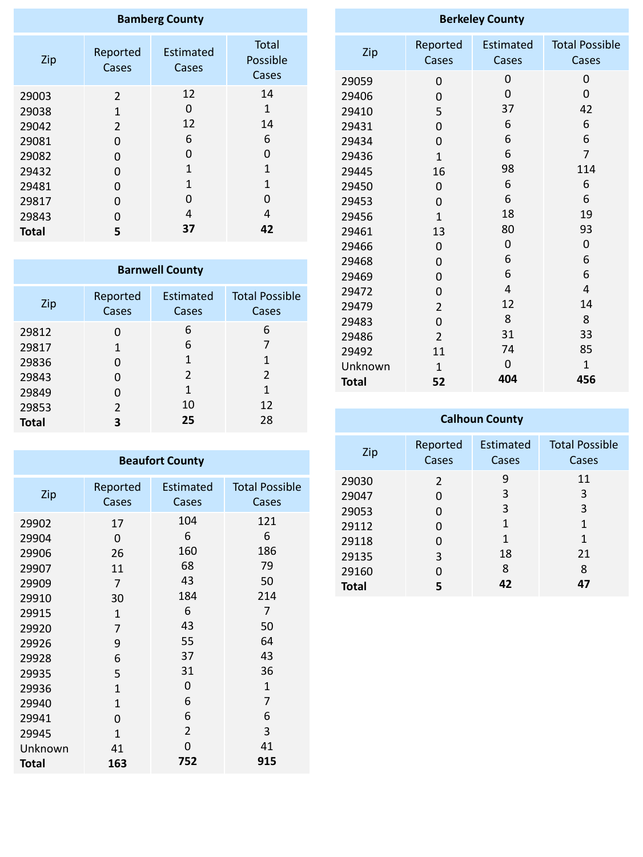| <b>Bamberg County</b> |                   |                    |                                   |  |  |
|-----------------------|-------------------|--------------------|-----------------------------------|--|--|
| Zip                   | Reported<br>Cases | Estimated<br>Cases | <b>Total</b><br>Possible<br>Cases |  |  |
| 29003                 | 2                 | 12                 | 14                                |  |  |
| 29038                 | 1                 | 0                  | $\mathbf{1}$                      |  |  |
| 29042                 | $\overline{2}$    | 12                 | 14                                |  |  |
| 29081                 | O                 | 6                  | 6                                 |  |  |
| 29082                 | 0                 | 0                  | O                                 |  |  |
| 29432                 | 0                 | 1                  | $\overline{1}$                    |  |  |
| 29481                 | 0                 | 1                  | 1                                 |  |  |
| 29817                 | 0                 | 0                  | O                                 |  |  |
| 29843                 | O                 | 4                  | 4                                 |  |  |
| <b>Total</b>          | 5                 | 37                 | 42                                |  |  |

| <b>Barnwell County</b> |                |                  |                       |  |  |
|------------------------|----------------|------------------|-----------------------|--|--|
| Zip                    | Reported       | <b>Estimated</b> | <b>Total Possible</b> |  |  |
|                        | Cases          | Cases            | Cases                 |  |  |
| 29812                  | O              | 6                | 6                     |  |  |
| 29817                  | $\mathbf{1}$   | 6                | 7                     |  |  |
| 29836                  | 0              | $\mathbf{1}$     | 1                     |  |  |
| 29843                  | O              | $\overline{2}$   | $\overline{2}$        |  |  |
| 29849                  | 0              | 1                | 1                     |  |  |
| 29853                  | $\overline{2}$ | 10               | 12                    |  |  |
| <b>Total</b>           | 3              | 25               | 28                    |  |  |

| <b>Berkeley County</b> |                |                  |                       |  |
|------------------------|----------------|------------------|-----------------------|--|
| Zip                    | Reported       | <b>Estimated</b> | <b>Total Possible</b> |  |
|                        | Cases          | Cases            | Cases                 |  |
| 29059                  | 0              | 0                | 0                     |  |
| 29406                  | 0              | 0                | 0                     |  |
| 29410                  | 5              | 37               | 42                    |  |
| 29431                  | 0              | 6                | 6                     |  |
| 29434                  | 0              | 6                | 6                     |  |
| 29436                  | $\mathbf{1}$   | 6                | $\overline{7}$        |  |
| 29445                  | 16             | 98               | 114                   |  |
| 29450                  | 0              | 6                | 6                     |  |
| 29453                  | 0              | 6                | 6                     |  |
| 29456                  | $\mathbf{1}$   | 18               | 19                    |  |
| 29461                  | 13             | 80               | 93                    |  |
| 29466                  | 0              | 0                | $\mathbf 0$           |  |
| 29468                  | 0              | 6                | 6                     |  |
| 29469                  | 0              | 6                | 6                     |  |
| 29472                  | $\overline{0}$ | $\overline{4}$   | $\overline{4}$        |  |
| 29479                  | $\overline{2}$ | 12               | 14                    |  |
| 29483                  | 0              | 8                | 8                     |  |
| 29486                  | $\overline{2}$ | 31               | 33                    |  |
| 29492                  | 11             | 74               | 85                    |  |
| Unknown                | $\mathbf{1}$   | 0                | $\mathbf{1}$          |  |
| <b>Total</b>           | 52             | 404              | 456                   |  |

| <b>Calhoun County</b> |                   |                    |                                |  |  |
|-----------------------|-------------------|--------------------|--------------------------------|--|--|
| Zip                   | Reported<br>Cases | Estimated<br>Cases | <b>Total Possible</b><br>Cases |  |  |
| 29030                 | $\overline{2}$    | 9                  | 11                             |  |  |
| 29047                 | 0                 | 3                  | 3                              |  |  |
| 29053                 | O                 | 3                  | 3                              |  |  |
| 29112                 | 0                 | 1                  | 1                              |  |  |
| 29118                 | O                 | 1                  | 1                              |  |  |
| 29135                 | 3                 | 18                 | 21                             |  |  |
| 29160                 | ი                 | 8                  | 8                              |  |  |
| <b>Total</b>          |                   | 42                 | 47                             |  |  |

| <b>Beaufort County</b> |                |                  |                       |  |  |
|------------------------|----------------|------------------|-----------------------|--|--|
| Zip                    | Reported       | <b>Estimated</b> | <b>Total Possible</b> |  |  |
|                        | Cases          | Cases            | Cases                 |  |  |
| 29902                  | 17             | 104              | 121                   |  |  |
| 29904                  | $\overline{0}$ | 6                | 6                     |  |  |
| 29906                  | 26             | 160              | 186                   |  |  |
| 29907                  | 11             | 68               | 79                    |  |  |
| 29909                  | $\overline{7}$ | 43               | 50                    |  |  |
| 29910                  | 30             | 184              | 214                   |  |  |
| 29915                  | $\mathbf{1}$   | 6                | $\overline{7}$        |  |  |
| 29920                  | 7              | 43               | 50                    |  |  |
| 29926                  | 9              | 55               | 64                    |  |  |
| 29928                  | 6              | 37               | 43                    |  |  |
| 29935                  | 5              | 31               | 36                    |  |  |
| 29936                  | $\mathbf{1}$   | 0                | $\mathbf{1}$          |  |  |
| 29940                  | $\mathbf{1}$   | 6                | $\overline{7}$        |  |  |
| 29941                  | 0              | 6                | 6                     |  |  |
| 29945                  | 1              | $\overline{2}$   | 3                     |  |  |
| Unknown                | 41             | 0                | 41                    |  |  |
| <b>Total</b>           | 163            | 752              | 915                   |  |  |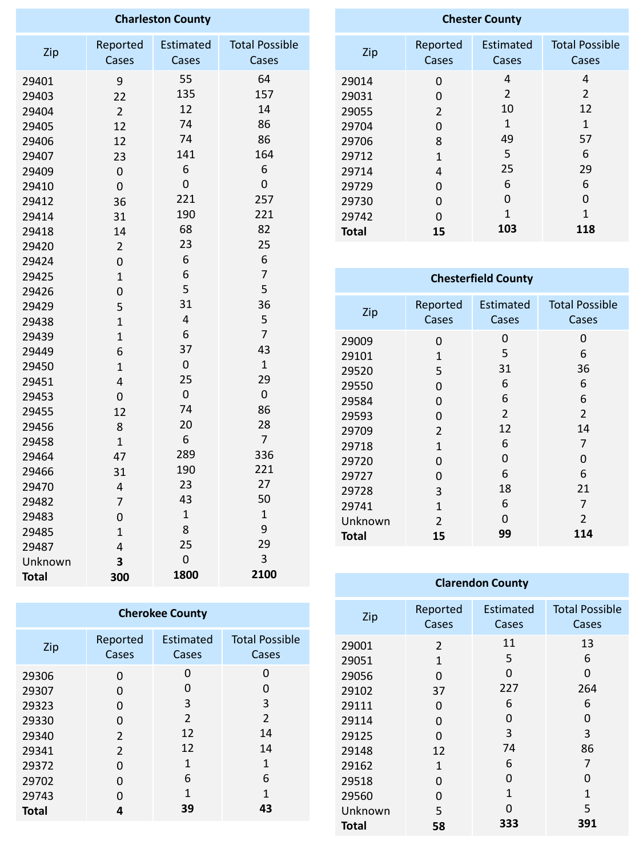| <b>Charleston County</b> |                |                  |                       |  |
|--------------------------|----------------|------------------|-----------------------|--|
|                          | Reported       | <b>Estimated</b> | <b>Total Possible</b> |  |
| Zip                      | Cases          | Cases            | Cases                 |  |
| 29401                    | 9              | 55               | 64                    |  |
| 29403                    | 22             | 135              | 157                   |  |
| 29404                    | $\overline{2}$ | 12               | 14                    |  |
| 29405                    | 12             | 74               | 86                    |  |
| 29406                    | 12             | 74               | 86                    |  |
| 29407                    | 23             | 141              | 164                   |  |
| 29409                    | $\mathbf 0$    | 6                | 6                     |  |
| 29410                    | $\mathbf 0$    | $\mathbf 0$      | $\mathbf 0$           |  |
| 29412                    | 36             | 221              | 257                   |  |
| 29414                    | 31             | 190              | 221                   |  |
| 29418                    | 14             | 68               | 82                    |  |
| 29420                    | $\overline{2}$ | 23               | 25                    |  |
| 29424                    | $\mathbf 0$    | 6                | 6                     |  |
| 29425                    | $\mathbf{1}$   | 6                | $\overline{7}$        |  |
| 29426                    | 0              | 5                | 5                     |  |
| 29429                    | 5              | 31               | 36                    |  |
| 29438                    | $\mathbf{1}$   | $\overline{4}$   | 5                     |  |
| 29439                    | $\mathbf{1}$   | 6                | $\overline{7}$        |  |
| 29449                    | 6              | 37               | 43                    |  |
| 29450                    | $\mathbf{1}$   | $\mathbf 0$      | $\mathbf{1}$          |  |
| 29451                    | 4              | 25               | 29                    |  |
| 29453                    | $\mathbf 0$    | $\pmb{0}$        | $\mathbf 0$           |  |
| 29455                    | 12             | 74               | 86                    |  |
| 29456                    | 8              | 20               | 28                    |  |
| 29458                    | $\overline{1}$ | 6                | $\overline{7}$        |  |
| 29464                    | 47             | 289              | 336                   |  |
| 29466                    | 31             | 190              | 221                   |  |
| 29470                    | 4              | 23               | 27                    |  |
| 29482                    | $\overline{7}$ | 43               | 50                    |  |
| 29483                    | 0              | $\mathbf{1}$     | $\mathbf{1}$          |  |
| 29485                    | $\overline{1}$ | 8                | 9                     |  |
| 29487                    | 4              | 25               | 29                    |  |
| Unknown                  | 3              | 0                | 3                     |  |
| <b>Total</b>             | 300            | 1800             | 2100                  |  |

| <b>Chester County</b> |                |                |                       |  |  |
|-----------------------|----------------|----------------|-----------------------|--|--|
| Zip                   | Reported       | Estimated      | <b>Total Possible</b> |  |  |
|                       | Cases          | Cases          | Cases                 |  |  |
| 29014                 | 0              | 4              | 4                     |  |  |
| 29031                 | O              | $\overline{2}$ | $\overline{2}$        |  |  |
| 29055                 | $\overline{2}$ | 10             | 12                    |  |  |
| 29704                 | 0              | 1              | 1                     |  |  |
| 29706                 | 8              | 49             | 57                    |  |  |
| 29712                 | 1              | 5              | 6                     |  |  |
| 29714                 | 4              | 25             | 29                    |  |  |
| 29729                 | 0              | 6              | 6                     |  |  |
| 29730                 | O              | O              | O                     |  |  |
| 29742                 | O              | 1              | 1                     |  |  |
| <b>Total</b>          | 15             | 103            | 118                   |  |  |

## **Chesterfield County**

| Zip          | Reported<br>Cases | <b>Estimated</b><br>Cases | <b>Total Possible</b><br>Cases |
|--------------|-------------------|---------------------------|--------------------------------|
| 29009        | 0                 | 0                         | 0                              |
| 29101        | $\mathbf{1}$      | 5                         | 6                              |
| 29520        | 5                 | 31                        | 36                             |
| 29550        | 0                 | 6                         | 6                              |
| 29584        | 0                 | 6                         | 6                              |
| 29593        | 0                 | 2                         | 2                              |
| 29709        | $\overline{2}$    | 12                        | 14                             |
| 29718        | $\mathbf{1}$      | 6                         | 7                              |
| 29720        | 0                 | 0                         | O                              |
| 29727        | 0                 | 6                         | 6                              |
| 29728        | 3                 | 18                        | 21                             |
| 29741        | $\mathbf{1}$      | 6                         | 7                              |
| Unknown      | $\overline{2}$    | O                         | $\overline{2}$                 |
| <b>Total</b> | 15                | 99                        | 114                            |

#### **Cherokee County** Zip Reported Estimated Total Possible Cases Cases Cases  $\mathbf 0$  $\mathbf 0$   $\mathbf 0$ 0<br>0<br>3<br>2 0<br>0<br>3<br>2  $\mathbf 0$  $\overline{0}$   $\mathbf 0$  $\overline{3}$  $\overline{3}$   $\mathbf 0$  $\overline{2}$  $\overline{2}$   $\mathbf 0$   $\overline{2}$  $\begin{array}{c} 12 \\ 1 \\ 6 \\ 1 \end{array}$ 14<br>1<br>6<br>1  $\overline{2}$   $\mathbf 0$   $\pmb{0}$   $\pmb{0}$  **Total**

| Zip          | Reported<br>Cases | <b>Estimated</b><br>Cases | <b>Total Possible</b><br>Cases |
|--------------|-------------------|---------------------------|--------------------------------|
| 29001        | $\overline{2}$    | 11                        | 13                             |
| 29051        | $\mathbf{1}$      | 5                         | 6                              |
| 29056        | 0                 | 0                         | 0                              |
| 29102        | 37                | 227                       | 264                            |
| 29111        | 0                 | 6                         | 6                              |
| 29114        | 0                 | 0                         | 0                              |
| 29125        | 0                 | 3                         | 3                              |
| 29148        | 12                | 74                        | 86                             |
| 29162        | $\mathbf{1}$      | 6                         | 7                              |
| 29518        | 0                 | 0                         | $\mathbf{\Omega}$              |
| 29560        | 0                 | $\mathbf{1}$              | $\overline{1}$                 |
| Unknown      | 5                 | O                         | 5                              |
| <b>Total</b> | 58                | 333                       | 391                            |

## **Clarendon County**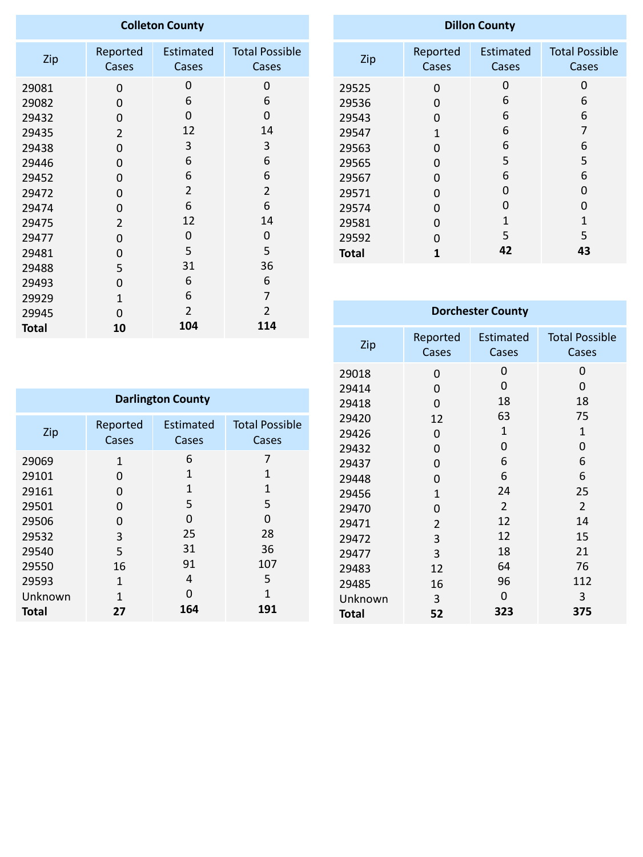| <b>Colleton County</b>                                                                                   |                                                                                    |                                                                         |                                                                         |  |
|----------------------------------------------------------------------------------------------------------|------------------------------------------------------------------------------------|-------------------------------------------------------------------------|-------------------------------------------------------------------------|--|
| Zip                                                                                                      | Reported<br>Cases                                                                  | <b>Estimated</b><br>Cases                                               | <b>Total Possible</b><br>Cases                                          |  |
| 29081<br>29082<br>29432<br>29435<br>29438<br>29446<br>29452<br>29472<br>29474<br>29475<br>29477<br>29481 | 0<br>0<br>0<br>$\overline{2}$<br>0<br>0<br>0<br>0<br>0<br>$\overline{2}$<br>0<br>0 | 0<br>6<br>0<br>12<br>3<br>6<br>6<br>$\overline{2}$<br>6<br>12<br>0<br>5 | 0<br>6<br>0<br>14<br>3<br>6<br>6<br>$\overline{2}$<br>6<br>14<br>0<br>5 |  |
| 29488                                                                                                    | 5                                                                                  | 31<br>6                                                                 | 36<br>6                                                                 |  |
| 29493<br>29929<br>29945                                                                                  | 0<br>$\mathbf{1}$<br>0                                                             | 6<br>$\overline{2}$                                                     | 7<br>$\overline{2}$                                                     |  |
| <b>Total</b>                                                                                             | 10                                                                                 | 104                                                                     | 114                                                                     |  |

| <b>Dillon County</b> |              |                   |                       |  |
|----------------------|--------------|-------------------|-----------------------|--|
| Zip                  | Reported     | <b>Estimated</b>  | <b>Total Possible</b> |  |
|                      | Cases        | Cases             | Cases                 |  |
| 29525                | 0            | 0                 | 0                     |  |
| 29536                | O            | 6                 | 6                     |  |
| 29543                | O            | 6                 | 6                     |  |
| 29547                | $\mathbf{1}$ | 6                 | 7                     |  |
| 29563                | 0            | 6                 | 6                     |  |
| 29565                | 0            | 5                 | 5                     |  |
| 29567                | O            | 6                 | 6                     |  |
| 29571                | 0            | $\mathbf{\Omega}$ | O                     |  |
| 29574                | 0            | 0                 | O                     |  |
| 29581                | 0            | 1                 | 1                     |  |
| 29592                | O            | 5                 | 5                     |  |
| <b>Total</b>         | 1            | 42                | 43                    |  |

| <b>Dorchester County</b>                                                                                                   |                                                                                              |                                                                                            |                                                                                                          |  |
|----------------------------------------------------------------------------------------------------------------------------|----------------------------------------------------------------------------------------------|--------------------------------------------------------------------------------------------|----------------------------------------------------------------------------------------------------------|--|
| Zip                                                                                                                        | Reported<br>Cases                                                                            | <b>Estimated</b><br>Cases                                                                  | <b>Total Possible</b><br>Cases                                                                           |  |
| 29018<br>29414<br>29418<br>29420<br>29426<br>29432<br>29437<br>29448<br>29456<br>29470<br>29471<br>29472<br>29477<br>29483 | 0<br>0<br>0<br>12<br>0<br>0<br>0<br>0<br>$\mathbf{1}$<br>0<br>$\overline{2}$<br>3<br>3<br>12 | 0<br>0<br>18<br>63<br>$\mathbf{1}$<br>0<br>6<br>6<br>24<br>2<br>12<br>12<br>18<br>64<br>96 | 0<br>0<br>18<br>75<br>$\mathbf{1}$<br>0<br>6<br>6<br>25<br>$\overline{2}$<br>14<br>15<br>21<br>76<br>112 |  |
| 29485<br>Unknown<br><b>Total</b>                                                                                           | 16<br>3<br>52                                                                                | 0<br>323                                                                                   | 3<br>375                                                                                                 |  |

| <b>Darlington County</b> |                   |                    |                                |  |
|--------------------------|-------------------|--------------------|--------------------------------|--|
| Zip                      | Reported<br>Cases | Estimated<br>Cases | <b>Total Possible</b><br>Cases |  |
| 29069                    | $\mathbf{1}$      | 6                  | 7                              |  |
| 29101                    | $\mathbf{\Omega}$ | 1                  | 1                              |  |
| 29161                    | O                 | 1                  | $\mathbf 1$                    |  |
| 29501                    | O                 | 5                  | 5                              |  |
| 29506                    | O                 | N                  | 0                              |  |
| 29532                    | 3                 | 25                 | 28                             |  |
| 29540                    | 5                 | 31                 | 36                             |  |
| 29550                    | 16                | 91                 | 107                            |  |
| 29593                    | 1                 | 4                  | 5                              |  |
| Unknown                  | 1                 | 0                  | 1                              |  |
| <b>Total</b>             | 27                | 164                | 191                            |  |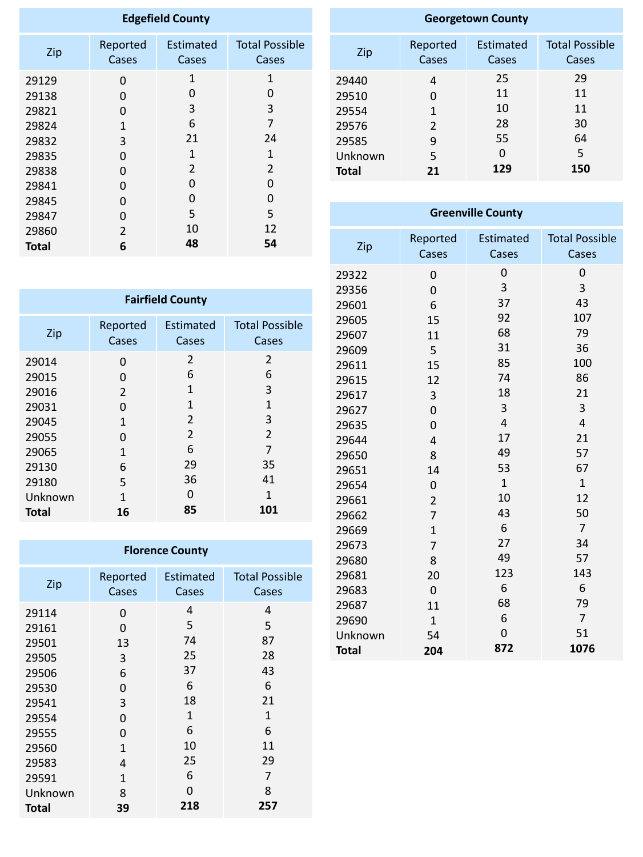| <b>Edgefield County</b> |              |                  |                       |  |
|-------------------------|--------------|------------------|-----------------------|--|
| Zip                     | Reported     | <b>Estimated</b> | <b>Total Possible</b> |  |
|                         | Cases        | Cases            | Cases                 |  |
| 29129                   | 0            | 1                | $\mathbf{1}$          |  |
| 29138                   | 0            | O                | 0                     |  |
| 29821                   | 0            | 3                | 3                     |  |
| 29824                   | $\mathbf{1}$ | 6                | $\overline{7}$        |  |
| 29832                   | 3            | 21               | 24                    |  |
| 29835                   | 0            | 1                | 1                     |  |
| 29838                   | 0            | 2                | $\overline{2}$        |  |
| 29841                   | 0            | 0                | 0                     |  |
| 29845                   | 0            | 0                | 0                     |  |
| 29847                   | 0            | 5                | 5                     |  |
| 29860                   | 2            | 10               | 12                    |  |
| Total                   | 6            | 48               | 54                    |  |

| <b>Georgetown County</b> |                |           |                       |  |
|--------------------------|----------------|-----------|-----------------------|--|
| Zip                      | Reported       | Estimated | <b>Total Possible</b> |  |
|                          | Cases          | Cases     | Cases                 |  |
| 29440                    | 4              | 25        | 29                    |  |
| 29510                    | O              | 11        | 11                    |  |
| 29554                    | $\mathbf{1}$   | 10        | 11                    |  |
| 29576                    | $\overline{2}$ | 28        | 30                    |  |
| 29585                    | 9              | 55        | 64                    |  |
| Unknown                  | 5              | O         | 5                     |  |
| <b>Total</b>             | 21             | 129       | 150                   |  |

| <b>Fairfield County</b> |                   |                           |                                |  |
|-------------------------|-------------------|---------------------------|--------------------------------|--|
| Zip                     | Reported<br>Cases | <b>Estimated</b><br>Cases | <b>Total Possible</b><br>Cases |  |
| 29014                   | 0                 | $\overline{2}$            | 2                              |  |
| 29015                   | O                 | 6                         | 6                              |  |
| 29016                   | 2                 | 1                         | 3                              |  |
| 29031                   | 0                 | 1                         | $\mathbf{1}$                   |  |
| 29045                   | $\mathbf{1}$      | $\overline{2}$            | 3                              |  |
| 29055                   | 0                 | $\overline{2}$            | $\overline{2}$                 |  |
| 29065                   | $\mathbf{1}$      | 6                         | 7                              |  |
| 29130                   | 6                 | 29                        | 35                             |  |
| 29180                   | 5                 | 36                        | 41                             |  |
| Unknown                 | $\mathbf{1}$      | 0                         | 1                              |  |
| <b>Total</b>            | 16                | 85                        | 101                            |  |

| <b>Florence County</b> |                |                  |                       |  |
|------------------------|----------------|------------------|-----------------------|--|
| Zip                    | Reported       | <b>Estimated</b> | <b>Total Possible</b> |  |
|                        | Cases          | Cases            | Cases                 |  |
| 29114                  | 0              | 4                | 4                     |  |
| 29161                  | 0              | 5                | 5                     |  |
| 29501                  | 13             | 74               | 87                    |  |
| 29505                  | 3              | 25               | 28                    |  |
| 29506                  | 6              | 37               | 43                    |  |
| 29530                  | 0              | 6                | 6                     |  |
| 29541                  | 3              | 18               | 21                    |  |
| 29554                  | 0              | $\mathbf{1}$     | $\mathbf{1}$          |  |
| 29555                  | 0              | 6                | 6                     |  |
| 29560                  | $\overline{1}$ | 10               | 11                    |  |
| 29583                  | 4              | 25               | 29                    |  |
| 29591                  | $\mathbf{1}$   | 6                | 7                     |  |
| Unknown                | 8              | O                | 8                     |  |
| <b>Total</b>           | 39             | 218              | 257                   |  |

| <b>Greenville County</b> |                   |                    |                                |  |
|--------------------------|-------------------|--------------------|--------------------------------|--|
| Zip                      | Reported<br>Cases | Estimated<br>Cases | <b>Total Possible</b><br>Cases |  |
| 29322                    | 0                 | 0                  | 0                              |  |
| 29356                    | $\overline{0}$    | 3                  | 3                              |  |
| 29601                    | 6                 | 37                 | 43                             |  |
| 29605                    | 15                | 92                 | 107                            |  |
| 29607                    | 11                | 68                 | 79                             |  |
| 29609                    | 5                 | 31                 | 36                             |  |
| 29611                    | 15                | 85                 | 100                            |  |
| 29615                    | 12                | 74                 | 86                             |  |
| 29617                    | 3                 | 18                 | 21                             |  |
| 29627                    | $\overline{0}$    | 3                  | 3                              |  |
| 29635                    | $\overline{0}$    | $\overline{4}$     | $\overline{4}$                 |  |
| 29644                    | $\overline{4}$    | 17                 | 21                             |  |
| 29650                    | 8                 | 49                 | 57                             |  |
| 29651                    | 14                | 53                 | 67                             |  |
| 29654                    | $\overline{0}$    | $\mathbf{1}$       | $\mathbf{1}$                   |  |
| 29661                    | $\overline{2}$    | 10                 | 12                             |  |
| 29662                    | $\overline{7}$    | 43                 | 50                             |  |
| 29669                    | $\overline{1}$    | 6                  | $\overline{7}$                 |  |
| 29673                    | $\overline{7}$    | 27                 | 34                             |  |
| 29680                    | 8                 | 49                 | 57                             |  |
| 29681                    | 20                | 123                | 143                            |  |
| 29683                    | $\overline{0}$    | 6                  | 6                              |  |
| 29687                    | 11                | 68                 | 79                             |  |
| 29690                    | $\mathbf{1}$      | 6                  | $\overline{7}$                 |  |
| Unknown                  | 54                | $\mathbf 0$        | 51                             |  |
| <b>Total</b>             | 204               | 872                | 1076                           |  |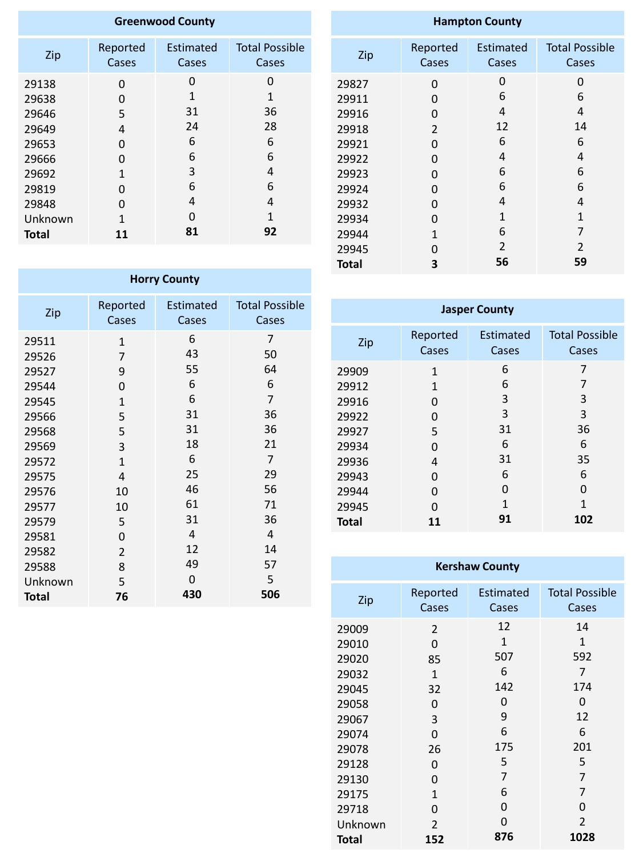| <b>Greenwood County</b> |          |                  |                       |  |
|-------------------------|----------|------------------|-----------------------|--|
| Zip                     | Reported | <b>Estimated</b> | <b>Total Possible</b> |  |
|                         | Cases    | Cases            | Cases                 |  |
| 29138                   | 0        | O                | O                     |  |
| 29638                   | 0        | 1                | 1                     |  |
| 29646                   | 5        | 31               | 36                    |  |
| 29649                   | 4        | 24               | 28                    |  |
| 29653                   | 0        | 6                | 6                     |  |
| 29666                   | O        | 6                | 6                     |  |
| 29692                   | 1        | 3                | 4                     |  |
| 29819                   | O        | 6                | 6                     |  |
| 29848                   | O        | 4                | 4                     |  |
| Unknown                 | 1        | O                | 1                     |  |
| <b>Total</b>            | 11       | 81               | 92                    |  |

| <b>Hampton County</b> |                   |                           |                                |  |
|-----------------------|-------------------|---------------------------|--------------------------------|--|
| Zip                   | Reported<br>Cases | <b>Estimated</b><br>Cases | <b>Total Possible</b><br>Cases |  |
| 29827                 | 0                 | 0                         | 0                              |  |
| 29911<br>29916        | 0<br>0            | 6<br>4                    | 6<br>4                         |  |
| 29918                 | $\overline{2}$    | 12                        | 14                             |  |
| 29921                 | 0                 | 6                         | 6                              |  |
| 29922                 | 0                 | 4                         | 4                              |  |
| 29923                 | 0                 | 6                         | 6                              |  |
| 29924                 | 0                 | 6                         | 6                              |  |
| 29932                 | 0                 | 4                         | 4                              |  |
| 29934                 | 0                 | 1                         | $\mathbf{1}$                   |  |
| 29944                 | $\mathbf{1}$      | 6                         | 7                              |  |
| 29945                 | 0                 | $\overline{2}$            | 2                              |  |

| <b>Horry County</b> |                |                  |                       |  |
|---------------------|----------------|------------------|-----------------------|--|
| Zip                 | Reported       | <b>Estimated</b> | <b>Total Possible</b> |  |
|                     | Cases          | Cases            | Cases                 |  |
| 29511               | $\mathbf{1}$   | 6                | 7                     |  |
| 29526               | $\overline{7}$ | 43               | 50                    |  |
| 29527               | 9              | 55               | 64                    |  |
| 29544               | 0              | 6                | 6                     |  |
| 29545               | $\mathbf{1}$   | 6                | $\overline{7}$        |  |
| 29566               | 5              | 31               | 36                    |  |
| 29568               | 5              | 31               | 36                    |  |
| 29569               | 3              | 18               | 21                    |  |
| 29572               | $\mathbf{1}$   | 6                | $\overline{7}$        |  |
| 29575               | 4              | 25               | 29                    |  |
| 29576               | 10             | 46               | 56                    |  |
| 29577               | 10             | 61               | 71                    |  |
| 29579               | 5              | 31               | 36                    |  |
| 29581               | 0              | 4                | 4                     |  |
| 29582               | $\overline{2}$ | 12               | 14                    |  |
| 29588               | 8              | 49               | 57                    |  |
| Unknown             | 5              | 0                | 5                     |  |
| <b>Total</b>        | 76             | 430              | 506                   |  |

| <b>Jasper County</b> |                   |                           |                                |
|----------------------|-------------------|---------------------------|--------------------------------|
| Zip                  | Reported<br>Cases | <b>Estimated</b><br>Cases | <b>Total Possible</b><br>Cases |
| 29909                | $\mathbf{1}$      | 6                         | 7                              |
| 29912                | $\mathbf{1}$      | 6                         | 7                              |
| 29916                | O                 | 3                         | 3                              |
| 29922                | O                 | 3                         | 3                              |
| 29927                | 5                 | 31                        | 36                             |
| 29934                | O                 | 6                         | 6                              |
| 29936                | 4                 | 31                        | 35                             |
| 29943                | O                 | 6                         | 6                              |
| 29944                | O                 | 0                         | 0                              |
| 29945                | ( )               | 1                         | 1                              |
| <b>Total</b>         | 11                | 91                        | 102                            |

**Total**

| <b>Kershaw County</b> |                |                  |                       |
|-----------------------|----------------|------------------|-----------------------|
| Zip                   | Reported       | <b>Estimated</b> | <b>Total Possible</b> |
|                       | Cases          | Cases            | Cases                 |
| 29009                 | $\overline{2}$ | 12               | 14                    |
| 29010                 | $\overline{0}$ | $\mathbf{1}$     | $\mathbf{1}$          |
| 29020                 | 85             | 507              | 592                   |
| 29032                 | $\mathbf{1}$   | 6                | 7                     |
| 29045                 | 32             | 142              | 174                   |
| 29058                 | O              | 0                | 0                     |
| 29067                 | 3              | 9                | 12                    |
| 29074                 | $\overline{0}$ | 6                | 6                     |
| 29078                 | 26             | 175              | 201                   |
| 29128                 | 0              | 5                | 5                     |
| 29130                 | 0              | 7                | 7                     |
| 29175                 | $\mathbf{1}$   | 6                | 7                     |
| 29718                 | 0              | 0                | 0                     |
| Unknown               | $\overline{2}$ | 0                | $\overline{2}$        |
| <b>Total</b>          | 152            | 876              | 1028                  |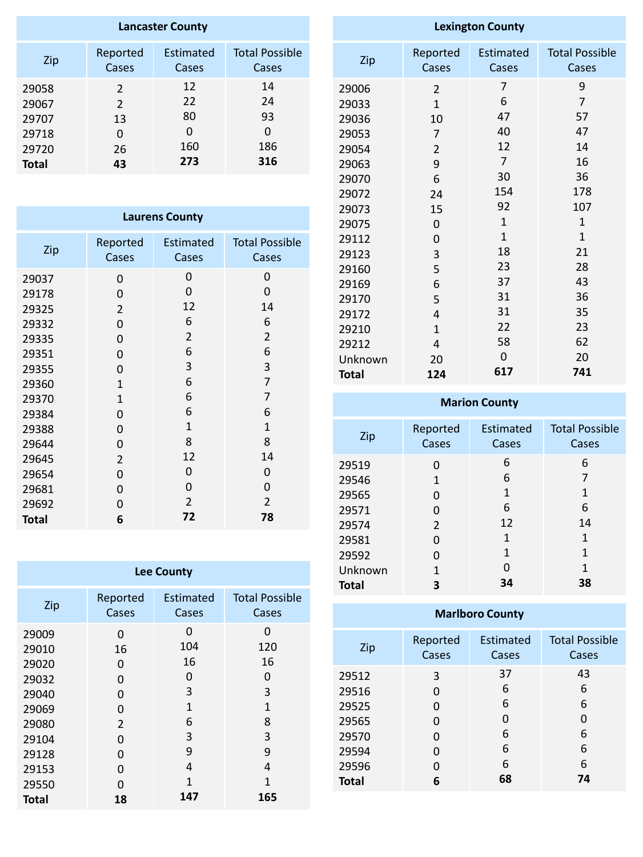| <b>Lancaster County</b> |                   |                    |                                |
|-------------------------|-------------------|--------------------|--------------------------------|
| Zip                     | Reported<br>Cases | Estimated<br>Cases | <b>Total Possible</b><br>Cases |
| 29058                   | 2                 | 12                 | 14                             |
| 29067                   | $\overline{2}$    | 22                 | 24                             |
| 29707                   | 13                | 80                 | 93                             |
| 29718                   | 0                 | 0                  | O                              |
| 29720                   | 26                | 160                | 186                            |
| <b>Total</b>            | 43                | 273                | 316                            |

| <b>Laurens County</b> |                |                |                       |  |
|-----------------------|----------------|----------------|-----------------------|--|
| Zip                   | Reported       | Estimated      | <b>Total Possible</b> |  |
|                       | Cases          | Cases          | Cases                 |  |
| 29037                 | 0              | 0              | 0                     |  |
| 29178                 | 0              | 0              | 0                     |  |
| 29325                 | $\overline{2}$ | 12             | 14                    |  |
| 29332                 | 0              | 6              | 6                     |  |
| 29335                 | 0              | $\overline{2}$ | $\overline{2}$        |  |
| 29351                 | 0              | 6              | 6                     |  |
| 29355                 | 0              | 3              | 3                     |  |
| 29360                 | $\mathbf{1}$   | 6              | $\overline{7}$        |  |
| 29370                 | $\mathbf{1}$   | 6              | 7                     |  |
| 29384                 | 0              | 6              | 6                     |  |
| 29388                 | 0              | $\mathbf{1}$   | $\mathbf{1}$          |  |
| 29644                 | 0              | 8              | 8                     |  |
| 29645                 | $\overline{2}$ | 12             | 14                    |  |
| 29654                 | 0              | 0              | 0                     |  |
| 29681                 | 0              | 0              | 0                     |  |
| 29692                 | 0              | $\overline{2}$ | $\overline{2}$        |  |
| <b>Total</b>          | 6              | 72             | 78                    |  |

| <b>Lee County</b>                                                                      |                                                              |                                                                     |                                                                                |  |
|----------------------------------------------------------------------------------------|--------------------------------------------------------------|---------------------------------------------------------------------|--------------------------------------------------------------------------------|--|
| Zip                                                                                    | Reported<br>Cases                                            | Estimated<br>Cases                                                  | <b>Total Possible</b><br>Cases                                                 |  |
| 29009<br>29010<br>29020<br>29032<br>29040<br>29069<br>29080<br>29104<br>29128<br>29153 | 0<br>16<br>0<br>0<br>0<br>0<br>$\overline{2}$<br>0<br>0<br>0 | 0<br>104<br>16<br>O<br>3<br>$\overline{1}$<br>6<br>3<br>9<br>4<br>1 | O<br>120<br>16<br>O<br>3<br>$\mathbf{1}$<br>8<br>3<br>9<br>4<br>$\overline{1}$ |  |
| 29550<br><b>Total</b>                                                                  | O<br>18                                                      | 147                                                                 | 165                                                                            |  |

| <b>Lexington County</b> |                |                  |                       |  |
|-------------------------|----------------|------------------|-----------------------|--|
| Zip                     | Reported       | <b>Estimated</b> | <b>Total Possible</b> |  |
|                         | Cases          | Cases            | Cases                 |  |
| 29006                   | 2              | 7                | 9                     |  |
| 29033                   | $\mathbf{1}$   | 6                | $\overline{7}$        |  |
| 29036                   | 10             | 47               | 57                    |  |
| 29053                   | $\overline{7}$ | 40               | 47                    |  |
| 29054                   | $\overline{2}$ | 12               | 14                    |  |
| 29063                   | 9              | $\overline{7}$   | 16                    |  |
| 29070                   | 6              | 30               | 36                    |  |
| 29072                   | 24             | 154              | 178                   |  |
| 29073                   | 15             | 92               | 107                   |  |
| 29075                   | 0              | $\mathbf{1}$     | 1                     |  |
| 29112                   | 0              | $\mathbf{1}$     | $\mathbf{1}$          |  |
| 29123                   | 3              | 18               | 21                    |  |
| 29160                   | 5              | 23               | 28                    |  |
| 29169                   | 6              | 37               | 43                    |  |
| 29170                   | 5              | 31               | 36                    |  |
| 29172                   | 4              | 31               | 35                    |  |
| 29210                   | $\mathbf{1}$   | 22               | 23                    |  |
| 29212                   | $\overline{4}$ | 58               | 62                    |  |
| Unknown                 | 20             | 0                | 20                    |  |
| <b>Total</b>            | 124            | 617              | 741                   |  |

## **Marion County**

| Zip          | Reported       | Estimated | <b>Total Possible</b> |
|--------------|----------------|-----------|-----------------------|
|              | Cases          | Cases     | Cases                 |
| 29519        | O              | 6         | 6                     |
| 29546        | 1              | 6         | 7                     |
| 29565        | O              | 1         | 1                     |
| 29571        | 0              | 6         | 6                     |
| 29574        | $\overline{2}$ | 12        | 14                    |
| 29581        | O              | 1         | 1                     |
| 29592        | N              | 1         | 1                     |
| Unknown      | 1              | O         | 1                     |
| <b>Total</b> | 3              | 34        | 38                    |

## **Marlboro County**

| Zip          | Reported<br>Cases | <b>Estimated</b><br>Cases | <b>Total Possible</b><br>Cases |
|--------------|-------------------|---------------------------|--------------------------------|
| 29512        | 3                 | 37                        | 43                             |
| 29516        | 0                 | 6                         | 6                              |
| 29525        | 0                 | 6                         | 6                              |
| 29565        | 0                 | 0                         | 0                              |
| 29570        | 0                 | 6                         | 6                              |
| 29594        | O                 | 6                         | 6                              |
| 29596        | O                 | 6                         | 6                              |
| <b>Total</b> | 6                 | 68                        | 74                             |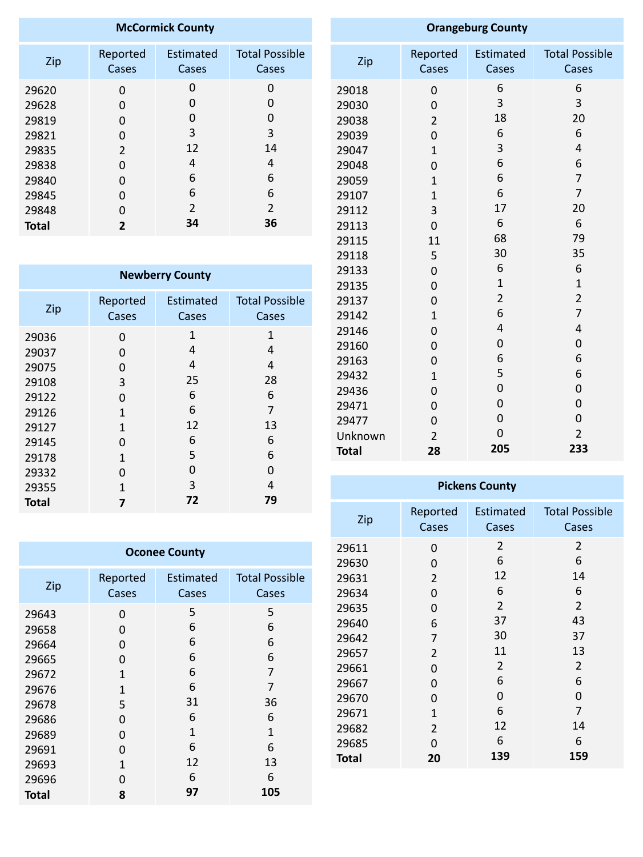| <b>McCormick County</b> |                   |                    |                                |
|-------------------------|-------------------|--------------------|--------------------------------|
| Zip                     | Reported<br>Cases | Estimated<br>Cases | <b>Total Possible</b><br>Cases |
| 29620                   | O                 | O                  | 0                              |
| 29628                   | O                 | O                  | O                              |
| 29819                   | O                 | O                  | 0                              |
| 29821                   | 0                 | 3                  | 3                              |
| 29835                   | 2                 | 12                 | 14                             |
| 29838                   | ŋ                 | 4                  | 4                              |
| 29840                   | O                 | 6                  | 6                              |
| 29845                   | 0                 | 6                  | 6                              |
| 29848                   | U                 | $\overline{2}$     | $\overline{2}$                 |
| <b>Total</b>            | 2                 | 34                 | 36                             |

| <b>Newberry County</b> |              |                  |                       |  |
|------------------------|--------------|------------------|-----------------------|--|
| Zip                    | Reported     | <b>Estimated</b> | <b>Total Possible</b> |  |
|                        | Cases        | Cases            | Cases                 |  |
| 29036                  | 0            | $\mathbf{1}$     | $\mathbf{1}$          |  |
| 29037                  | 0            | 4                | 4                     |  |
| 29075                  | 0            | 4                | 4                     |  |
| 29108                  | 3            | 25               | 28                    |  |
| 29122                  | O            | 6                | 6                     |  |
| 29126                  | 1            | 6                | 7                     |  |
| 29127                  | $\mathbf{1}$ | 12               | 13                    |  |
| 29145                  | O            | 6                | 6                     |  |
| 29178                  | 1            | 5                | 6                     |  |
| 29332                  | U            | 0                | 0                     |  |
| 29355                  | 1            | 3                | 4                     |  |
| <b>Total</b>           |              | 72               | 79                    |  |

| <b>Oconee County</b>                                                                            |                                                                                      |                                                                         |                                                                         |  |
|-------------------------------------------------------------------------------------------------|--------------------------------------------------------------------------------------|-------------------------------------------------------------------------|-------------------------------------------------------------------------|--|
| Zip                                                                                             | Reported<br>Cases                                                                    | Estimated<br>Cases                                                      | <b>Total Possible</b><br>Cases                                          |  |
| 29643<br>29658<br>29664<br>29665<br>29672<br>29676<br>29678<br>29686<br>29689<br>29691<br>29693 | 0<br>O<br>0<br>0<br>$\mathbf{1}$<br>$\mathbf{1}$<br>5<br>0<br>0<br>O<br>$\mathbf{1}$ | 5<br>6<br>6<br>6<br>6<br>6<br>31<br>6<br>$\overline{1}$<br>6<br>12<br>6 | 5<br>6<br>6<br>6<br>7<br>7<br>36<br>6<br>$\overline{1}$<br>6<br>13<br>6 |  |
| 29696<br>Total                                                                                  | 0<br>8                                                                               | 97                                                                      | 105                                                                     |  |

| <b>Orangeburg County</b> |                          |                           |                                |
|--------------------------|--------------------------|---------------------------|--------------------------------|
| Zip                      | Reported<br><b>Cases</b> | <b>Estimated</b><br>Cases | <b>Total Possible</b><br>Cases |
| 29018                    | $\overline{0}$           | 6                         | 6                              |
| 29030                    | $\overline{0}$           | 3                         | 3                              |
| 29038                    | $\overline{2}$           | 18                        | 20                             |
| 29039                    | $\overline{0}$           | 6                         | 6                              |
| 29047                    | $\overline{1}$           | 3                         | $\overline{4}$                 |
| 29048                    | $\overline{0}$           | 6                         | 6                              |
| 29059                    | $\mathbf 1$              | 6                         | $\overline{7}$                 |
| 29107                    | $\overline{1}$           | 6                         | $\overline{7}$                 |
| 29112                    | 3                        | 17                        | 20                             |
| 29113                    | $\overline{0}$           | 6                         | 6                              |
| 29115                    | 11                       | 68                        | 79                             |
| 29118                    | 5                        | 30                        | 35                             |
| 29133                    | $\mathbf 0$              | 6                         | 6                              |
| 29135                    | $\overline{0}$           | $\mathbf{1}$              | $\mathbf{1}$                   |
| 29137                    | $\overline{0}$           | $\overline{2}$            | $\overline{2}$                 |
| 29142                    | $\mathbf{1}$             | 6                         | $\overline{7}$                 |
| 29146                    | $\overline{0}$           | $\overline{4}$            | 4                              |
| 29160                    | $\overline{0}$           | $\overline{0}$            | 0                              |
| 29163                    | $\overline{0}$           | 6                         | 6                              |
| 29432                    | $\mathbf{1}$             | 5                         | 6                              |
| 29436                    | $\overline{0}$           | $\overline{0}$            | 0                              |
| 29471                    | 0                        | $\overline{0}$            | 0                              |
| 29477                    | $\overline{0}$           | $\mathbf 0$               | 0                              |
| Unknown                  | $\overline{2}$           | $\overline{0}$            | $\overline{2}$                 |
| <b>Total</b>             | 28                       | 205                       | 233                            |

| <b>Pickens County</b> |                |                  |                       |  |  |
|-----------------------|----------------|------------------|-----------------------|--|--|
| Zip                   | Reported       | <b>Estimated</b> | <b>Total Possible</b> |  |  |
|                       | Cases          | Cases            | Cases                 |  |  |
| 29611                 | 0              | 2                | 2                     |  |  |
| 29630                 | 0              | 6                | 6                     |  |  |
| 29631                 | $\overline{2}$ | 12               | 14                    |  |  |
| 29634                 | 0              | 6                | 6                     |  |  |
| 29635                 | 0              | 2                | $\overline{2}$        |  |  |
| 29640                 | 6              | 37               | 43                    |  |  |
| 29642                 | 7              | 30               | 37                    |  |  |
| 29657                 | $\overline{2}$ | 11               | 13                    |  |  |
| 29661                 | 0              | $\overline{2}$   | $\overline{2}$        |  |  |
| 29667                 | 0              | 6                | 6                     |  |  |
| 29670                 | 0              | 0                | 0                     |  |  |
| 29671                 | $\overline{1}$ | 6                | $\overline{7}$        |  |  |
| 29682                 | $\overline{2}$ | 12               | 14                    |  |  |
| 29685                 | 0              | 6                | 6                     |  |  |
| <b>Total</b>          | 20             | 139              | 159                   |  |  |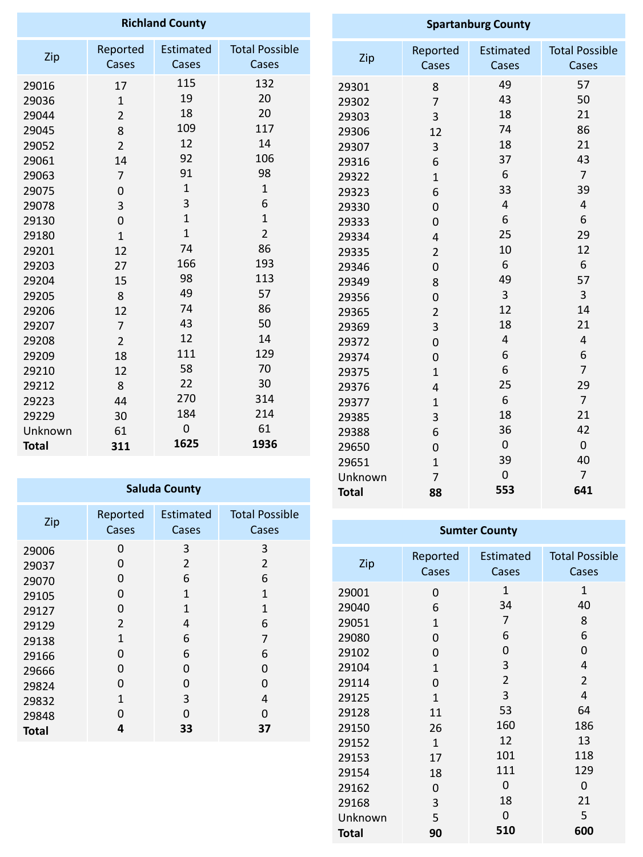| <b>Richland County</b>                                                                                                                       |                                                                                                                                                                     |                                                                                                                              | <b>Spartanburg County</b>                                                                                                        |                                                                                                                                     |                                                                                                                                      |                                                                                                      |                                                                                                                     |
|----------------------------------------------------------------------------------------------------------------------------------------------|---------------------------------------------------------------------------------------------------------------------------------------------------------------------|------------------------------------------------------------------------------------------------------------------------------|----------------------------------------------------------------------------------------------------------------------------------|-------------------------------------------------------------------------------------------------------------------------------------|--------------------------------------------------------------------------------------------------------------------------------------|------------------------------------------------------------------------------------------------------|---------------------------------------------------------------------------------------------------------------------|
| Zip                                                                                                                                          | Reported<br>Cases                                                                                                                                                   | Estimated<br>Cases                                                                                                           | <b>Total Possible</b><br>Cases                                                                                                   | Zip                                                                                                                                 | Reported<br>Cases                                                                                                                    | Estimated<br><b>Cases</b>                                                                            | <b>Total Possible</b><br>Cases                                                                                      |
| 29016<br>29036<br>29044<br>29045<br>29052<br>29061<br>29063<br>29075<br>29078<br>29130<br>29180<br>29201<br>29203<br>29204<br>29205<br>29206 | 17<br>$\mathbf{1}$<br>$\overline{2}$<br>8<br>$\overline{2}$<br>14<br>$\overline{7}$<br>$\mathbf 0$<br>3<br>$\mathbf 0$<br>$\mathbf{1}$<br>12<br>27<br>15<br>8<br>12 | 115<br>19<br>18<br>109<br>12<br>92<br>91<br>$\mathbf{1}$<br>3<br>$\mathbf{1}$<br>$\mathbf{1}$<br>74<br>166<br>98<br>49<br>74 | 132<br>20<br>20<br>117<br>14<br>106<br>98<br>$\mathbf{1}$<br>6<br>$\mathbf{1}$<br>$\overline{2}$<br>86<br>193<br>113<br>57<br>86 | 29301<br>29302<br>29303<br>29306<br>29307<br>29316<br>29322<br>29323<br>29330<br>29333<br>29334<br>29335<br>29346<br>29349<br>29356 | 8<br>$\overline{7}$<br>3<br>12<br>3<br>6<br>$\mathbf{1}$<br>6<br>0<br>$\overline{0}$<br>4<br>$\overline{2}$<br>$\mathbf 0$<br>8<br>0 | 49<br>43<br>18<br>74<br>18<br>37<br>6<br>33<br>$\overline{4}$<br>6<br>25<br>10<br>6<br>49<br>3<br>12 | 57<br>50<br>21<br>86<br>21<br>43<br>$\overline{7}$<br>39<br>$\overline{4}$<br>6<br>29<br>12<br>6<br>57<br>3<br>14   |
| 29207<br>29208<br>29209<br>29210<br>29212<br>29223<br>29229<br>Unknown<br><b>Total</b>                                                       | $\overline{7}$<br>$\overline{2}$<br>18<br>12<br>8<br>44<br>30<br>61<br>311                                                                                          | 43<br>12<br>111<br>58<br>22<br>270<br>184<br>$\mathbf 0$<br>1625                                                             | 50<br>14<br>129<br>70<br>30<br>314<br>214<br>61<br>1936                                                                          | 29365<br>29369<br>29372<br>29374<br>29375<br>29376<br>29377<br>29385<br>29388<br>29650<br>29651                                     | $\overline{2}$<br>3<br>0<br>0<br>$\mathbf{1}$<br>$\overline{4}$<br>$\mathbf{1}$<br>3<br>6<br>$\mathbf 0$<br>$\mathbf{1}$             | 18<br>$\overline{4}$<br>$\boldsymbol{6}$<br>6<br>25<br>6<br>18<br>36<br>$\mathbf 0$<br>39            | 21<br>$\overline{4}$<br>$\boldsymbol{6}$<br>$\overline{7}$<br>29<br>$\overline{7}$<br>21<br>42<br>$\mathbf 0$<br>40 |

Unknown

 

**Total**

| <b>Saluda County</b> |                |                  |                       |  |  |
|----------------------|----------------|------------------|-----------------------|--|--|
| Zip                  | Reported       | <b>Estimated</b> | <b>Total Possible</b> |  |  |
|                      | Cases          | Cases            | Cases                 |  |  |
| 29006                | 0              | 3                | 3                     |  |  |
| 29037                | 0              | 2                | 2                     |  |  |
| 29070                | 0              | 6                | 6                     |  |  |
| 29105                | 0              | $\mathbf{1}$     | $\overline{1}$        |  |  |
| 29127                | 0              | 1                | $\mathbf{1}$          |  |  |
| 29129                | $\overline{2}$ | 4                | 6                     |  |  |
| 29138                | $\mathbf{1}$   | 6                | 7                     |  |  |
| 29166                | 0              | 6                | 6                     |  |  |
| 29666                | 0              | 0                | 0                     |  |  |
| 29824                | O              | 0                | 0                     |  |  |
| 29832                | $\mathbf{1}$   | 3                | 4                     |  |  |
| 29848                | O              | 0                | 0                     |  |  |
| Total                | 4              | 33               | 37                    |  |  |

| <b>Sumter County</b>                                                                                     |                                                                                                         |                                                                                                               |                                                                                                |  |  |
|----------------------------------------------------------------------------------------------------------|---------------------------------------------------------------------------------------------------------|---------------------------------------------------------------------------------------------------------------|------------------------------------------------------------------------------------------------|--|--|
| Zip                                                                                                      | Reported<br>Cases                                                                                       | <b>Estimated</b><br>Cases                                                                                     | <b>Total Possible</b><br>Cases                                                                 |  |  |
| 29001<br>29040<br>29051<br>29080<br>29102<br>29104<br>29114<br>29125<br>29128<br>29150<br>29152<br>29153 | 0<br>6<br>$\mathbf{1}$<br>0<br>0<br>$\mathbf{1}$<br>0<br>$\mathbf{1}$<br>11<br>26<br>$\mathbf{1}$<br>17 | $\overline{1}$<br>34<br>$\overline{7}$<br>6<br>0<br>3<br>$\overline{2}$<br>3<br>53<br>160<br>12<br>101<br>111 | $\mathbf{1}$<br>40<br>8<br>6<br>0<br>4<br>$\overline{2}$<br>4<br>64<br>186<br>13<br>118<br>129 |  |  |
| 29154<br>29162                                                                                           | 18<br>0                                                                                                 | 0                                                                                                             | 0                                                                                              |  |  |
| 29168                                                                                                    | 3                                                                                                       | 18                                                                                                            | 21                                                                                             |  |  |
| Unknown                                                                                                  | 5                                                                                                       | $\overline{0}$                                                                                                | 5                                                                                              |  |  |
| Total                                                                                                    | 90                                                                                                      | 510                                                                                                           | 600                                                                                            |  |  |